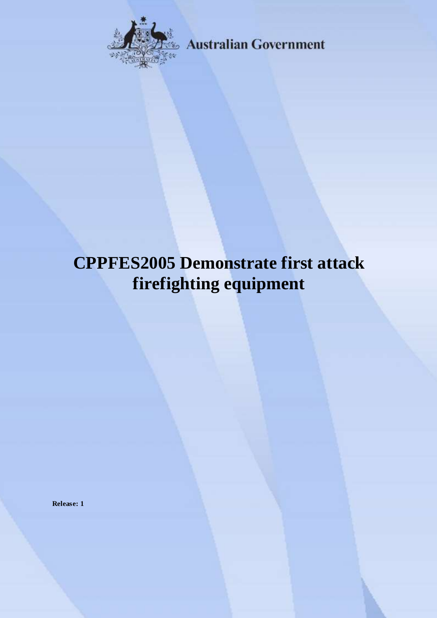

**Australian Government** 

# **CPPFES2005 Demonstrate first attack firefighting equipment**

**Release: 1**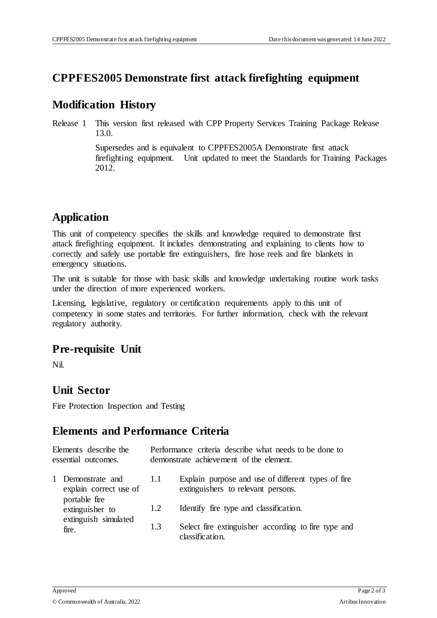#### **CPPFES2005 Demonstrate first attack firefighting equipment**

#### **Modification History**

Release 1 This version first released with CPP Property Services Training Package Release 13.0.

> Supersedes and is equivalent to CPPFES2005A Demonstrate first attack firefighting equipment. Unit updated to meet the Standards for Training Packages 2012.

## **Application**

This unit of competency specifies the skills and knowledge required to demonstrate first attack firefighting equipment. It includes demonstrating and explaining to clients how to correctly and safely use portable fire extinguishers, fire hose reels and fire blankets in emergency situations.

The unit is suitable for those with basic skills and knowledge undertaking routine work tasks under the direction of more experienced workers.

Licensing, legislative, regulatory or certification requirements apply to this unit of competency in some states and territories. For further information, check with the relevant regulatory authority.

## **Pre-requisite Unit**

Nil.

#### **Unit Sector**

Fire Protection Inspection and Testing

## **Elements and Performance Criteria**

| Elements describe the<br>essential outcomes. |                                                                                                                                        | Performance criteria describe what needs to be done to<br>demonstrate achievement of the element. |                                                                                          |
|----------------------------------------------|----------------------------------------------------------------------------------------------------------------------------------------|---------------------------------------------------------------------------------------------------|------------------------------------------------------------------------------------------|
|                                              | 1 Demonstrate and<br>-1.1<br>explain correct use of<br>portable fire<br>1.2<br>extinguisher to<br>extinguish simulated<br>1.3<br>fire. |                                                                                                   | Explain purpose and use of different types of fire<br>extinguishers to relevant persons. |
|                                              |                                                                                                                                        |                                                                                                   | Identify fire type and classification.                                                   |
|                                              |                                                                                                                                        |                                                                                                   | Select fire extinguisher according to fire type and<br>classification.                   |